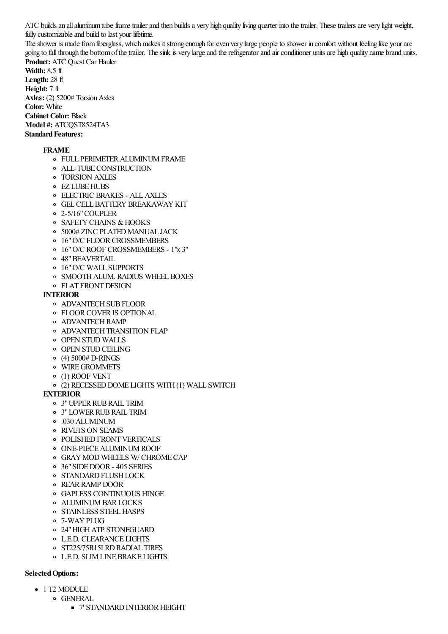ATC builds an all aluminum tube frame trailer and then builds a very high quality living quarter into the trailer. These trailers are very light weight, fully customizableand build to last your lifetime.

The shower is made from fiberglass, which makes it strong enough for even very large people to shower in comfort without feeling like your are going to fall through the bottom of the trailer. The sink is very large and the refrigerator and air conditioner units are high quality name brand units. **Product:** ATC Quest Car Hauler

**Width:** 8.5 ft **Length:** 28 ft **Height:** 7 ft **Axles:** (2) 5200# Torsion Axles **Color:** White **Cabinet Color:** Black **Model #: ATCOST8524TA3 Standard Features:** 

## **FRAME**

- o FULL PERIMETER ALUMINUM FRAME
- ALL-TUBECONSTRUCTION
- TORSION AXLES
- EZ LUBEHUBS
- ELECTRIC BRAKES ALLAXLES
- **O** GEL CELL BATTERY BREAKAWAY KIT
- 2-5/16"COUPLER
- **O SAFETY CHAINS & HOOKS**
- o 5000# ZINC PLATED MANUAL JACK
- o 16" O/C FLOOR CROSSMEMBERS
- 16"O/C ROOF CROSSMEMBERS 1"x 3"
- 48"BEAVERTAIL
- 16"O/C WALL SUPPORTS
- **O SMOOTH ALUM. RADIUS WHEEL BOXES**
- **O FLAT FRONT DESIGN**

## **INTERIOR**

- **O ADVANTECH SUB FLOOR**
- FLOORCOVERIS OPTIONAL
- **O** ADVANTECH RAMP
- **O ADVANTECH TRANSITION FLAP**
- o OPEN STUD WALLS
- **OPEN STUD CEILING**
- $(4)$  5000# D-RINGS
- WIREGROMMETS
- (1) ROOF VENT
- (2) RECESSEDDOME LIGHTS WITH(1) WALL SWITCH

## **EXTERIOR**

- 3"UPPERRUBRAIL TRIM
- 3"LOWERRUBRAIL TRIM
- .030 ALUMINUM
- RIVETS ON SEAMS
- o POLISHED FRONT VERTICALS
- ONE-PIECEALUMINUMROOF
- GRAYMOD WHEELS W/ CHROMECAP
- 36"SIDEDOOR- 405 SERIES
- o STANDARD FLUSH LOCK
- REARRAMP DOOR
- GAPLESS CONTINUOUS HINGE
- **O** ALUMINUM BAR LOCKS
- o STAINLESS STEEL HASPS
- 7-WAYPLUG
- 24"HIGHATP STONEGUARD
- L.E.D. CLEARANCE LIGHTS
- o ST225/75R15LRD RADIAL TIRES
- L.E.D. SLIMLINEBRAKE LIGHTS

## **Selected Options:**

- $\bullet$  1 T2 MODULE
	- o GENERAL
		- 7' STANDARD INTERIOR HEIGHT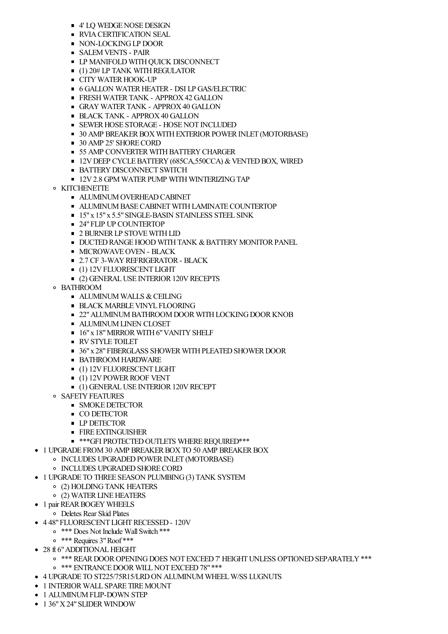- 4' LO WEDGE NOSE DESIGN
- **RVIA CERTIFICATION SEAL**
- NON-LOCKING LP DOOR
- **SALEM VENTS PAIR**
- **LP MANIFOLD WITH QUICK DISCONNECT**
- (1) 20# LP TANK WITHREGULATOR
- $\blacksquare$  CITY WATER HOOK-UP
- **6 GALLON WATER HEATER DSI LP GAS/ELECTRIC**
- **FRESH WATER TANK APPROX 42 GALLON**
- GRAY WATERTANK APPROX40 GALLON
- **BLACK TANK APPROX 40 GALLON**
- **SEWER HOSE STORAGE HOSE NOT INCLUDED**
- **30 AMP BREAKER BOX WITH EXTERIOR POWER INLET (MOTORBASE)**
- 30 AMP 25' SHORE CORD
- **55 AMP CONVERTER WITH BATTERY CHARGER**
- $12V$  DEEP CYCLE BATTERY (685CA,550CCA) & VENTED BOX, WIRED
- **BATTERY DISCONNECT SWITCH**
- $12V2.8$  GPM WATER PUMP WITH WINTERIZING TAP
- **O KITCHENETTE** 
	- **ALUMINUM OVERHEAD CABINET**
	- **ALUMINUM BASE CABINET WITH LAMINATE COUNTERTOP**
	- 15" x 15" x 5.5" SINGLE-BASIN STAINLESS STEEL SINK
	- 24" FLIP UP COUNTERTOP
	- **2 BURNER LP STOVE WITH LID**
	- **DUCTED RANGE HOOD WITH TANK & BATTERY MONITOR PANEL**
	- **MICROWAVE OVEN BLACK**
	- **2.7 CF 3-WAY REFRIGERATOR BLACK**
	- $(1)$  12V FLUORESCENT LIGHT
	- (2) GENERAL USE INTERIOR 120V RECEPTS
- BATHROOM
	- $\blacksquare$  ALUMINUM WALLS & CEILING
	- **BLACK MARBLE VINYL FLOORING**
	- **22" ALUMINUM BATHROOM DOOR WITH LOCKING DOOR KNOB**
	- **ALUMINUM LINEN CLOSET**
	- **16"x 18" MIRROR WITH 6" VANITY SHELF**
	- **RV STYLE TOILET**
	- **36"x 28" FIBERGLASS SHOWER WITH PLEATED SHOWER DOOR**
	- **BATHROOM HARDWARE**
	- $(1)$  12V FLUORESCENT LIGHT
	- $(1)$  12V POWER ROOF VENT
	- (1) GENERALUSE INTERIOR120VRECEPT
- o SAFETY FEATURES
	- **SMOKE DETECTOR**
	- **CO DETECTOR**
	- **LP DETECTOR**
	- **FIRE EXTINGUISHER**
	- $*$ \*\*\*GFI PROTECTED OUTLETS WHERE REQUIRED\*\*\*
- **1 UPGRADE FROM 30 AMP BREAKER BOX TO 50 AMP BREAKER BOX** 
	- o INCLUDES UPGRADED POWER INLET (MOTORBASE)
	- o INCLUDES UPGRADED SHORE CORD
- 1 UPGRADE TO THREE SEASON PLUMBING(3) TANK SYSTEM**\$313.00**
	- (2) HOLDINGTANK HEATERS
	- (2) WATERLINEHEATERS
- **1 pair REAR BOGEY WHEELS** 
	- Deletes Rear Skid Plates
- 4 48"FLUORESCENT LIGHTRECESSED- 120V**\$444.00**
	- \*\*\* Does Not Include WallSwitch \*\*\*
	- \*\*\* Requires 3"Roof \*\*\*
- **28 ft 6" ADDITIONAL HEIGHT** 
	- $\circ$  \*\*\* REAR DOOR OPENING DOES NOT EXCEED 7' HEIGHT UNLESS OPTIONED SEPARATELY \*\*\* o \*\*\* ENTRANCE DOOR WILL NOT EXCEED 78" \*\*\*
- 4 UPGRADE TO ST225/75R15/LRDON ALUMINUM WHEELW/SS LUGNUTS **\$352.00**
- 
- 1 INTERIORWALL SPARE TIREMOUNT **\$65.00**
- $\bullet$  1 ALUMINUM FLIP-DOWN STEP
- 1 36" X 24" SLIDER WINDOW